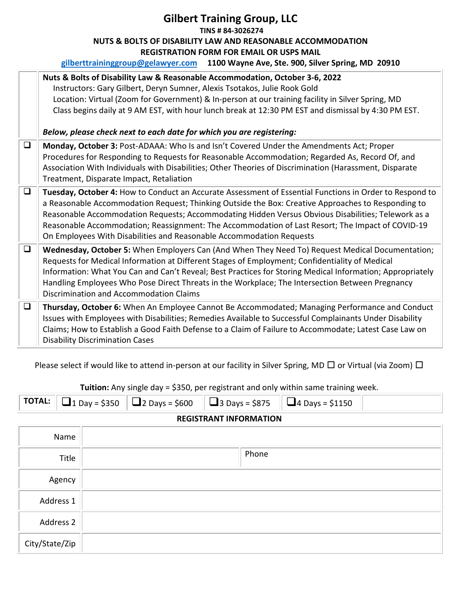## **Gilbert Training Group, LLC TINS # 84-3026274 NUTS & BOLTS OF DISABILITY LAW AND REASONABLE ACCOMMODATION REGISTRATION FORM FOR EMAIL OR USPS MAIL gilberttraininggroup@gelawyer.com 1100 Wayne Ave, Ste. 900, Silver Spring, MD 20910**

|        | Nuts & Bolts of Disability Law & Reasonable Accommodation, October 3-6, 2022<br>Instructors: Gary Gilbert, Deryn Sumner, Alexis Tsotakos, Julie Rook Gold<br>Location: Virtual (Zoom for Government) & In-person at our training facility in Silver Spring, MD<br>Class begins daily at 9 AM EST, with hour lunch break at 12:30 PM EST and dismissal by 4:30 PM EST.<br>Below, please check next to each date for which you are registering:                                                   |
|--------|-------------------------------------------------------------------------------------------------------------------------------------------------------------------------------------------------------------------------------------------------------------------------------------------------------------------------------------------------------------------------------------------------------------------------------------------------------------------------------------------------|
|        |                                                                                                                                                                                                                                                                                                                                                                                                                                                                                                 |
| $\Box$ | Monday, October 3: Post-ADAAA: Who Is and Isn't Covered Under the Amendments Act; Proper<br>Procedures for Responding to Requests for Reasonable Accommodation; Regarded As, Record Of, and<br>Association With Individuals with Disabilities; Other Theories of Discrimination (Harassment, Disparate<br>Treatment, Disparate Impact, Retaliation                                                                                                                                              |
| $\Box$ | Tuesday, October 4: How to Conduct an Accurate Assessment of Essential Functions in Order to Respond to<br>a Reasonable Accommodation Request; Thinking Outside the Box: Creative Approaches to Responding to<br>Reasonable Accommodation Requests; Accommodating Hidden Versus Obvious Disabilities; Telework as a<br>Reasonable Accommodation; Reassignment: The Accommodation of Last Resort; The Impact of COVID-19<br>On Employees With Disabilities and Reasonable Accommodation Requests |
| $\Box$ | Wednesday, October 5: When Employers Can (And When They Need To) Request Medical Documentation;<br>Requests for Medical Information at Different Stages of Employment; Confidentiality of Medical<br>Information: What You Can and Can't Reveal; Best Practices for Storing Medical Information; Appropriately<br>Handling Employees Who Pose Direct Threats in the Workplace; The Intersection Between Pregnancy<br>Discrimination and Accommodation Claims                                    |
| $\Box$ | Thursday, October 6: When An Employee Cannot Be Accommodated; Managing Performance and Conduct<br>Issues with Employees with Disabilities; Remedies Available to Successful Complainants Under Disability<br>Claims; How to Establish a Good Faith Defense to a Claim of Failure to Accommodate; Latest Case Law on<br><b>Disability Discrimination Cases</b>                                                                                                                                   |

Please select if would like to attend in-person at our facility in Silver Spring, MD □ or Virtual (via Zoom) □

| <b>TOTAL:</b>                 |      |  |  |  |       |  | $\Box$ 1 Day = \$350 $\parallel$ $\Box$ 2 Days = \$600 |  |  | $\parallel$ $\Box$ 3 Days = \$875 $\parallel$ $\Box$ 4 Days = \$1150 |  |
|-------------------------------|------|--|--|--|-------|--|--------------------------------------------------------|--|--|----------------------------------------------------------------------|--|
| <b>REGISTRANT INFORMATION</b> |      |  |  |  |       |  |                                                        |  |  |                                                                      |  |
|                               | Name |  |  |  |       |  |                                                        |  |  |                                                                      |  |
| Title                         |      |  |  |  | Phone |  |                                                        |  |  |                                                                      |  |

**Tuition:** Any single day = \$350, per registrant and only within same training week.

## Agency Address 1 Address 2 City/State/Zip